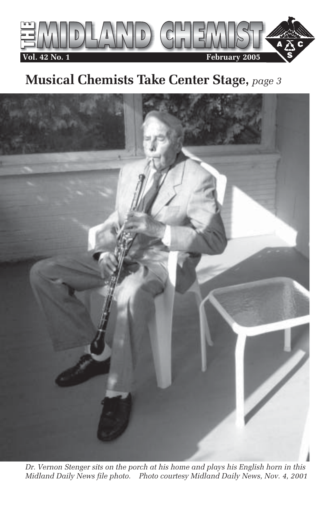

# **Musical Chemists Take Center Stage,** *page 3*



*Dr. Vernon Stenger sits on the porch at his home and plays his English horn in this Midland Daily News file photo. Photo courtesy Midland Daily News, Nov. 4, 2001*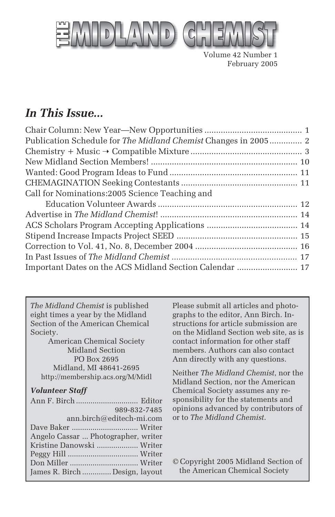

Volume 42 Number 1 February 2005

### *In This Issue...*

| Publication Schedule for The Midland Chemist Changes in 2005 2 |  |
|----------------------------------------------------------------|--|
|                                                                |  |
|                                                                |  |
|                                                                |  |
|                                                                |  |
| Call for Nominations: 2005 Science Teaching and                |  |
|                                                                |  |
|                                                                |  |
|                                                                |  |
|                                                                |  |
|                                                                |  |
|                                                                |  |
| Important Dates on the ACS Midland Section Calendar  17        |  |

*The Midland Chemist* is published eight times a year by the Midland Section of the American Chemical Society.

American Chemical Society Midland Section PO Box 2695 Midland, MI 48641-2695 http://membership.acs.org/M/Midl

#### *Volunteer Staff*

| 989-832-7485                        |  |
|-------------------------------------|--|
| ann.birch@editech-mi.com            |  |
|                                     |  |
| Angelo Cassar  Photographer, writer |  |
| Kristine Danowski  Writer           |  |
|                                     |  |
|                                     |  |
| James R. Birch  Design, layout      |  |

Please submit all articles and photographs to the editor, Ann Birch. Instructions for article submission are on the Midland Section web site, as is contact information for other staff members. Authors can also contact Ann directly with any questions.

Neither *The Midland Chemist*, nor the Midland Section, nor the American Chemical Society assumes any responsibility for the statements and opinions advanced by contributors of or to *The Midland Chemist*.

© Copyright 2005 Midland Section of the American Chemical Society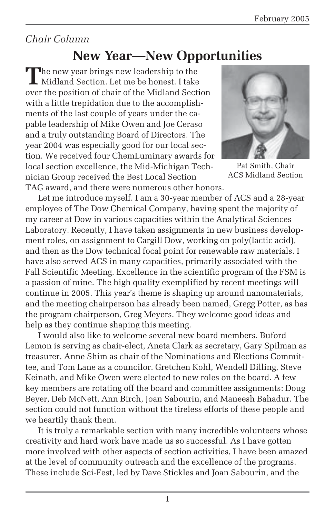### *Chair Column*

### **New Year—New Opportunities**

**T**he new year brings new leadership to the Midland Section. Let me be honest. I take over the position of chair of the Midland Section with a little trepidation due to the accomplishments of the last couple of years under the capable leadership of Mike Owen and Joe Ceraso and a truly outstanding Board of Directors. The year 2004 was especially good for our local section. We received four ChemLuminary awards for local section excellence, the Mid-Michigan Technician Group received the Best Local Section TAG award, and there were numerous other honors.



Pat Smith, Chair ACS Midland Section

Let me introduce myself. I am a 30-year member of ACS and a 28-year employee of The Dow Chemical Company, having spent the majority of my career at Dow in various capacities within the Analytical Sciences Laboratory. Recently, I have taken assignments in new business development roles, on assignment to Cargill Dow, working on poly(lactic acid), and then as the Dow technical focal point for renewable raw materials. I have also served ACS in many capacities, primarily associated with the Fall Scientific Meeting. Excellence in the scientific program of the FSM is a passion of mine. The high quality exemplified by recent meetings will continue in 2005. This year's theme is shaping up around nanomaterials, and the meeting chairperson has already been named, Gregg Potter, as has the program chairperson, Greg Meyers. They welcome good ideas and help as they continue shaping this meeting.

I would also like to welcome several new board members. Buford Lemon is serving as chair-elect, Aneta Clark as secretary, Gary Spilman as treasurer, Anne Shim as chair of the Nominations and Elections Committee, and Tom Lane as a councilor. Gretchen Kohl, Wendell Dilling, Steve Keinath, and Mike Owen were elected to new roles on the board. A few key members are rotating off the board and committee assignments: Doug Beyer, Deb McNett, Ann Birch, Joan Sabourin, and Maneesh Bahadur. The section could not function without the tireless efforts of these people and we heartily thank them.

It is truly a remarkable section with many incredible volunteers whose creativity and hard work have made us so successful. As I have gotten more involved with other aspects of section activities, I have been amazed at the level of community outreach and the excellence of the programs. These include Sci-Fest, led by Dave Stickles and Joan Sabourin, and the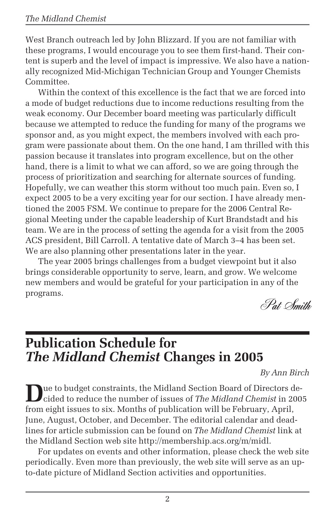West Branch outreach led by John Blizzard. If you are not familiar with these programs, I would encourage you to see them first-hand. Their content is superb and the level of impact is impressive. We also have a nationally recognized Mid-Michigan Technician Group and Younger Chemists Committee.

Within the context of this excellence is the fact that we are forced into a mode of budget reductions due to income reductions resulting from the weak economy. Our December board meeting was particularly difficult because we attempted to reduce the funding for many of the programs we sponsor and, as you might expect, the members involved with each program were passionate about them. On the one hand, I am thrilled with this passion because it translates into program excellence, but on the other hand, there is a limit to what we can afford, so we are going through the process of prioritization and searching for alternate sources of funding. Hopefully, we can weather this storm without too much pain. Even so, I expect 2005 to be a very exciting year for our section. I have already mentioned the 2005 FSM. We continue to prepare for the 2006 Central Regional Meeting under the capable leadership of Kurt Brandstadt and his team. We are in the process of setting the agenda for a visit from the 2005 ACS president, Bill Carroll. A tentative date of March 3–4 has been set. We are also planning other presentations later in the year.

The year 2005 brings challenges from a budget viewpoint but it also brings considerable opportunity to serve, learn, and grow. We welcome new members and would be grateful for your participation in any of the programs.

Pat Smith

### **Publication Schedule for** *The Midland Chemist* **Changes in 2005**

*By Ann Birch*

**D**ue to budget constraints, the Midland Section Board of Directors decided to reduce the number of issues of *The Midland Chemist* in 2005 from eight issues to six. Months of publication will be February, April, June, August, October, and December. The editorial calendar and deadlines for article submission can be found on *The Midland Chemist* link at the Midland Section web site http://membership.acs.org/m/midl.

For updates on events and other information, please check the web site periodically. Even more than previously, the web site will serve as an upto-date picture of Midland Section activities and opportunities.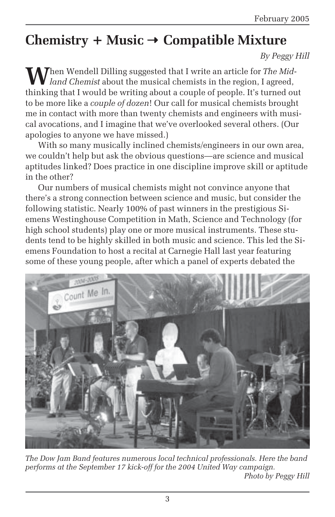# **Chemistry + Music** ➝ **Compatible Mixture**

*By Peggy Hill*

**Then Wendell Dilling suggested that I write an article for The Mid***land Chemist* about the musical chemists in the region, I agreed, thinking that I would be writing about a couple of people. It's turned out to be more like a *couple of dozen*! Our call for musical chemists brought me in contact with more than twenty chemists and engineers with musical avocations, and I imagine that we've overlooked several others. (Our apologies to anyone we have missed.)

With so many musically inclined chemists/engineers in our own area, we couldn't help but ask the obvious questions—are science and musical aptitudes linked? Does practice in one discipline improve skill or aptitude in the other?

Our numbers of musical chemists might not convince anyone that there's a strong connection between science and music, but consider the following statistic. Nearly 100% of past winners in the prestigious Siemens Westinghouse Competition in Math, Science and Technology (for high school students) play one or more musical instruments. These students tend to be highly skilled in both music and science. This led the Siemens Foundation to host a recital at Carnegie Hall last year featuring some of these young people, after which a panel of experts debated the



*The Dow Jam Band features numerous local technical professionals. Here the band performs at the September 17 kick-off for the 2004 United Way campaign. Photo by Peggy Hill*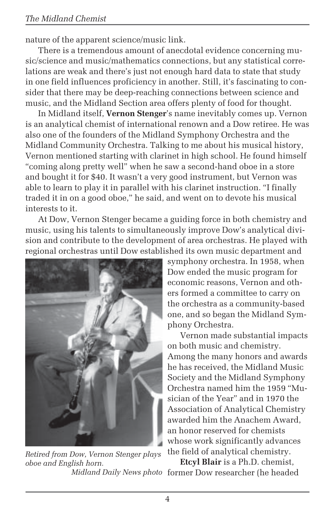nature of the apparent science/music link.

There is a tremendous amount of anecdotal evidence concerning music/science and music/mathematics connections, but any statistical correlations are weak and there's just not enough hard data to state that study in one field influences proficiency in another. Still, it's fascinating to consider that there may be deep-reaching connections between science and music, and the Midland Section area offers plenty of food for thought.

In Midland itself, **Vernon Stenger**'s name inevitably comes up. Vernon is an analytical chemist of international renown and a Dow retiree. He was also one of the founders of the Midland Symphony Orchestra and the Midland Community Orchestra. Talking to me about his musical history, Vernon mentioned starting with clarinet in high school. He found himself "coming along pretty well" when he saw a second-hand oboe in a store and bought it for \$40. It wasn't a very good instrument, but Vernon was able to learn to play it in parallel with his clarinet instruction. "I finally traded it in on a good oboe," he said, and went on to devote his musical interests to it.

At Dow, Vernon Stenger became a guiding force in both chemistry and music, using his talents to simultaneously improve Dow's analytical division and contribute to the development of area orchestras. He played with regional orchestras until Dow established its own music department and



*Retired from Dow, Vernon Stenger plays oboe and English horn.*

symphony orchestra. In 1958, when Dow ended the music program for economic reasons, Vernon and others formed a committee to carry on the orchestra as a community-based one, and so began the Midland Symphony Orchestra.

Vernon made substantial impacts on both music and chemistry. Among the many honors and awards he has received, the Midland Music Society and the Midland Symphony Orchestra named him the 1959 "Musician of the Year" and in 1970 the Association of Analytical Chemistry awarded him the Anachem Award, an honor reserved for chemists whose work significantly advances the field of analytical chemistry.

**Etcyl Blair** is a Ph.D. chemist, Midland Daily News photo former Dow researcher (he headed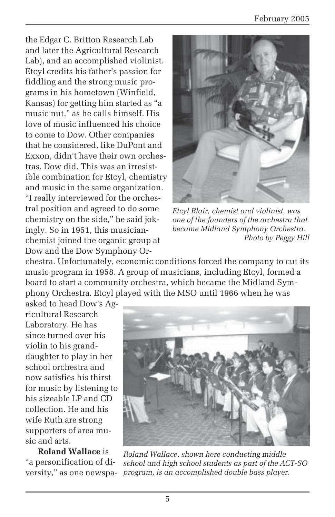the Edgar C. Britton Research Lab and later the Agricultural Research Lab), and an accomplished violinist. Etcyl credits his father's passion for fiddling and the strong music programs in his hometown (Winfield, Kansas) for getting him started as "a music nut," as he calls himself. His love of music influenced his choice to come to Dow. Other companies that he considered, like DuPont and Exxon, didn't have their own orchestras. Dow did. This was an irresistible combination for Etcyl, chemistry and music in the same organization. "I really interviewed for the orchestral position and agreed to do some chemistry on the side," he said jokingly. So in 1951, this musicianchemist joined the organic group at Dow and the Dow Symphony Or-



*Etcyl Blair, chemist and violinist, was one of the founders of the orchestra that became Midland Symphony Orchestra. Photo by Peggy Hill*

chestra. Unfortunately, economic conditions forced the company to cut its music program in 1958. A group of musicians, including Etcyl, formed a board to start a community orchestra, which became the Midland Symphony Orchestra. Etcyl played with the MSO until 1966 when he was

asked to head Dow's Agricultural Research Laboratory. He has since turned over his violin to his granddaughter to play in her school orchestra and now satisfies his thirst for music by listening to his sizeable LP and CD collection. He and his wife Ruth are strong supporters of area music and arts.

**Roland Wallace** is "a personification of diversity," as one newspa-



*Roland Wallace, shown here conducting middle school and high school students as part of the ACT-SO program, is an accomplished double bass player.*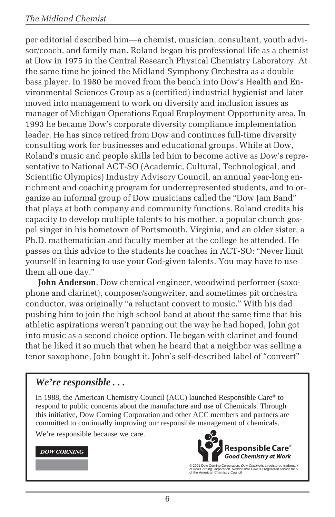per editorial described him—a chemist, musician, consultant, youth advisor/coach, and family man. Roland began his professional life as a chemist at Dow in 1975 in the Central Research Physical Chemistry Laboratory. At the same time he joined the Midland Symphony Orchestra as a double bass player. In 1980 he moved from the bench into Dow's Health and Environmental Sciences Group as a (certified) industrial hygienist and later moved into management to work on diversity and inclusion issues as manager of Michigan Operations Equal Employment Opportunity area. In 1993 he became Dow's corporate diversity compliance implementation leader. He has since retired from Dow and continues full-time diversity consulting work for businesses and educational groups. While at Dow, Roland's music and people skills led him to become active as Dow's representative to National ACT-SO (Academic, Cultural, Technological, and Scientific Olympics) Industry Advisory Council, an annual year-long enrichment and coaching program for underrepresented students, and to organize an informal group of Dow musicians called the "Dow Jam Band" that plays at both company and community functions. Roland credits his capacity to develop multiple talents to his mother, a popular church gospel singer in his hometown of Portsmouth, Virginia, and an older sister, a Ph.D. mathematician and faculty member at the college he attended. He passes on this advice to the students he coaches in ACT-SO: "Never limit yourself in learning to use your God-given talents. You may have to use them all one day."

**John Anderson**, Dow chemical engineer, woodwind performer (saxophone and clarinet), composer/songwriter, and sometimes pit orchestra conductor, was originally "a reluctant convert to music." With his dad pushing him to join the high school band at about the same time that his athletic aspirations weren't panning out the way he had hoped, John got into music as a second choice option. He began with clarinet and found that he liked it so much that when he heard that a neighbor was selling a tenor saxophone, John bought it. John's self-described label of "convert"

#### *We're responsible . . .*

In 1988, the American Chemistry Council (ACC) launched Responsible Care® to respond to public concerns about the manufacture and use of Chemicals. Through this initiative, Dow Corning Corporation and other ACC members and partners are committed to continually improving our responsible management of chemicals.

We're responsible because we care.

#### **DOW CORNING**



© 2001 Dow Corning Corporation. *Dow Corning* is a registered trademark<br>of Dow Corning Corporation. *Responsible Care* is a registered service mark<br>of the American Chemistry Council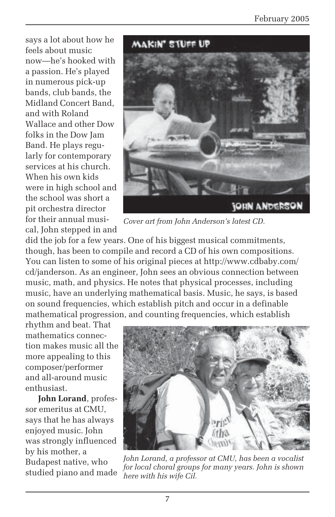says a lot about how he feels about music now—he's hooked with a passion. He's played in numerous pick-up bands, club bands, the Midland Concert Band, and with Roland Wallace and other Dow folks in the Dow Jam Band. He plays regularly for contemporary services at his church. When his own kids were in high school and the school was short a pit orchestra director for their annual musical, John stepped in and



*Cover art from John Anderson's latest CD.*

did the job for a few years. One of his biggest musical commitments, though, has been to compile and record a CD of his own compositions. You can listen to some of his original pieces at http://www.cdbaby.com/ cd/janderson. As an engineer, John sees an obvious connection between music, math, and physics. He notes that physical processes, including music, have an underlying mathematical basis. Music, he says, is based on sound frequencies, which establish pitch and occur in a definable mathematical progression, and counting frequencies, which establish

rhythm and beat. That mathematics connection makes music all the more appealing to this composer/performer and all-around music enthusiast.

**John Lorand**, professor emeritus at CMU, says that he has always enjoyed music. John was strongly influenced by his mother, a Budapest native, who studied piano and made



*John Lorand, a professor at CMU, has been a vocalist for local choral groups for many years. John is shown here with his wife Cil.*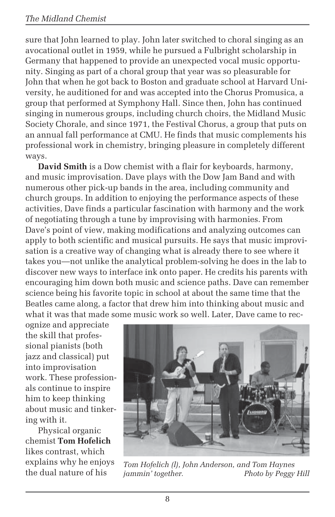sure that John learned to play. John later switched to choral singing as an avocational outlet in 1959, while he pursued a Fulbright scholarship in Germany that happened to provide an unexpected vocal music opportunity. Singing as part of a choral group that year was so pleasurable for John that when he got back to Boston and graduate school at Harvard University, he auditioned for and was accepted into the Chorus Promusica, a group that performed at Symphony Hall. Since then, John has continued singing in numerous groups, including church choirs, the Midland Music Society Chorale, and since 1971, the Festival Chorus, a group that puts on an annual fall performance at CMU. He finds that music complements his professional work in chemistry, bringing pleasure in completely different ways.

**David Smith** is a Dow chemist with a flair for keyboards, harmony, and music improvisation. Dave plays with the Dow Jam Band and with numerous other pick-up bands in the area, including community and church groups. In addition to enjoying the performance aspects of these activities, Dave finds a particular fascination with harmony and the work of negotiating through a tune by improvising with harmonies. From Dave's point of view, making modifications and analyzing outcomes can apply to both scientific and musical pursuits. He says that music improvisation is a creative way of changing what is already there to see where it takes you—not unlike the analytical problem-solving he does in the lab to discover new ways to interface ink onto paper. He credits his parents with encouraging him down both music and science paths. Dave can remember science being his favorite topic in school at about the same time that the Beatles came along, a factor that drew him into thinking about music and what it was that made some music work so well. Later, Dave came to rec-

ognize and appreciate the skill that professional pianists (both jazz and classical) put into improvisation work. These professionals continue to inspire him to keep thinking about music and tinkering with it.

Physical organic chemist **Tom Hofelich** likes contrast, which explains why he enjoys the dual nature of his



*Tom Hofelich (l), John Anderson, and Tom Haynes* **Photo by Peggy Hill**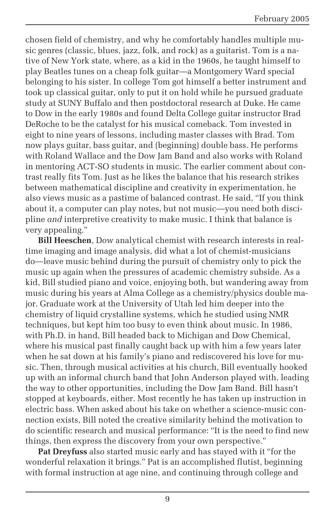chosen field of chemistry, and why he comfortably handles multiple music genres (classic, blues, jazz, folk, and rock) as a guitarist. Tom is a native of New York state, where, as a kid in the 1960s, he taught himself to play Beatles tunes on a cheap folk guitar—a Montgomery Ward special belonging to his sister. In college Tom got himself a better instrument and took up classical guitar, only to put it on hold while he pursued graduate study at SUNY Buffalo and then postdoctoral research at Duke. He came to Dow in the early 1980s and found Delta College guitar instructor Brad DeRoche to be the catalyst for his musical comeback. Tom invested in eight to nine years of lessons, including master classes with Brad. Tom now plays guitar, bass guitar, and (beginning) double bass. He performs with Roland Wallace and the Dow Jam Band and also works with Roland in mentoring ACT-SO students in music. The earlier comment about contrast really fits Tom. Just as he likes the balance that his research strikes between mathematical discipline and creativity in experimentation, he also views music as a pastime of balanced contrast. He said, "If you think about it, a computer can play notes, but not music—you need both discipline *and* interpretive creativity to make music. I think that balance is very appealing."

**Bill Heeschen**, Dow analytical chemist with research interests in realtime imaging and image analysis, did what a lot of chemist-musicians do—leave music behind during the pursuit of chemistry only to pick the music up again when the pressures of academic chemistry subside. As a kid, Bill studied piano and voice, enjoying both, but wandering away from music during his years at Alma College as a chemistry/physics double major. Graduate work at the University of Utah led him deeper into the chemistry of liquid crystalline systems, which he studied using NMR techniques, but kept him too busy to even think about music. In 1986, with Ph.D. in hand, Bill headed back to Michigan and Dow Chemical, where his musical past finally caught back up with him a few years later when he sat down at his family's piano and rediscovered his love for music. Then, through musical activities at his church, Bill eventually hooked up with an informal church band that John Anderson played with, leading the way to other opportunities, including the Dow Jam Band. Bill hasn't stopped at keyboards, either. Most recently he has taken up instruction in electric bass. When asked about his take on whether a science-music connection exists, Bill noted the creative similarity behind the motivation to do scientific research and musical performance: "It is the need to find new things, then express the discovery from your own perspective."

**Pat Dreyfuss** also started music early and has stayed with it "for the wonderful relaxation it brings." Pat is an accomplished flutist, beginning with formal instruction at age nine, and continuing through college and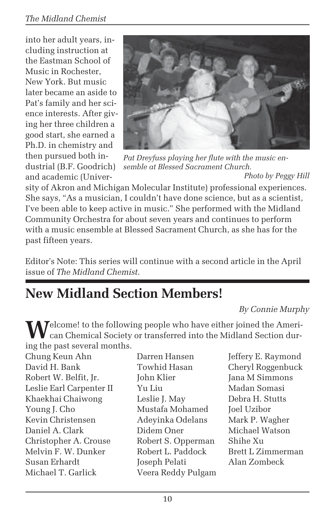into her adult years, including instruction at the Eastman School of Music in Rochester, New York. But music later became an aside to Pat's family and her science interests. After giving her three children a good start, she earned a Ph.D. in chemistry and then pursued both industrial (B.F. Goodrich) and academic (Univer-



*Pat Dreyfuss playing her flute with the music ensemble at Blessed Sacrament Church.*

*Photo by Peggy Hill*

sity of Akron and Michigan Molecular Institute) professional experiences. She says, "As a musician, I couldn't have done science, but as a scientist, I've been able to keep active in music." She performed with the Midland Community Orchestra for about seven years and continues to perform with a music ensemble at Blessed Sacrament Church, as she has for the past fifteen years.

Editor's Note: This series will continue with a second article in the April issue of *The Midland Chemist*.

# **New Midland Section Members!**

*By Connie Murphy*

**T**elcome! to the following people who have either joined the American Chemical Society or transferred into the Midland Section during the past several months.

| Chung Keun Ahn           |
|--------------------------|
| David H. Bank            |
| Robert W. Belfit, Jr.    |
| Leslie Earl Carpenter II |
| Khaekhai Chaiwong        |
| Young J. Cho             |
| Kevin Christensen        |
| Daniel A. Clark          |
| Christopher A. Crouse    |
| Melvin F. W. Dunker      |
| Susan Erhardt            |
| Michael T. Garlick       |

Towhid Hasan Cheryl Roggenbuck John Klier Jana M Simmons Leslie Earl Carpenter II Yu Liu Madan Somasi Leslie J. May Debra H. Stutts Mustafa Mohamed Joel Uzibor Adeyinka Odelans Mark P. Wagher Didem Oner Michael Watson Robert S. Opperman Shihe Xu Robert L. Paddock Brett L. Zimmerman Joseph Pelati Alan Zombeck Veera Reddy Pulgam

Darren Hansen Jeffery E. Raymond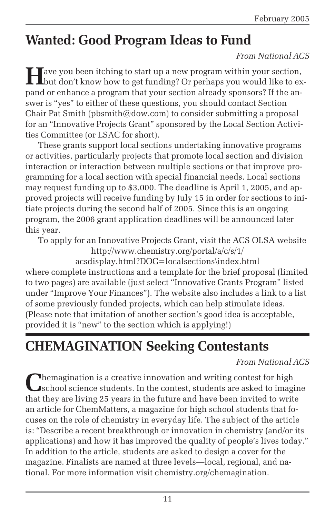### **Wanted: Good Program Ideas to Fund**

#### *From National ACS*

Have you been itching to start up a new program within your section,<br>but don't know how to get funding? Or perhaps you would like to expand or enhance a program that your section already sponsors? If the answer is "yes" to either of these questions, you should contact Section Chair Pat Smith (pbsmith@dow.com) to consider submitting a proposal for an "Innovative Projects Grant" sponsored by the Local Section Activities Committee (or LSAC for short).

These grants support local sections undertaking innovative programs or activities, particularly projects that promote local section and division interaction or interaction between multiple sections or that improve programming for a local section with special financial needs. Local sections may request funding up to \$3,000. The deadline is April 1, 2005, and approved projects will receive funding by July 15 in order for sections to initiate projects during the second half of 2005. Since this is an ongoing program, the 2006 grant application deadlines will be announced later this year.

To apply for an Innovative Projects Grant, visit the ACS OLSA website http://www.chemistry.org/portal/a/c/s/1/

acsdisplay.html?DOC=localsections\index.html where complete instructions and a template for the brief proposal (limited to two pages) are available (just select "Innovative Grants Program" listed under "Improve Your Finances"). The website also includes a link to a list of some previously funded projects, which can help stimulate ideas. (Please note that imitation of another section's good idea is acceptable, provided it is "new" to the section which is applying!)

### **CHEMAGINATION Seeking Contestants**

#### *From National ACS*

**Themagination is a creative innovation and writing contest for high** school science students. In the contest, students are asked to imagine that they are living 25 years in the future and have been invited to write an article for ChemMatters, a magazine for high school students that focuses on the role of chemistry in everyday life. The subject of the article is: "Describe a recent breakthrough or innovation in chemistry (and/or its applications) and how it has improved the quality of people's lives today." In addition to the article, students are asked to design a cover for the magazine. Finalists are named at three levels—local, regional, and national. For more information visit chemistry.org/chemagination.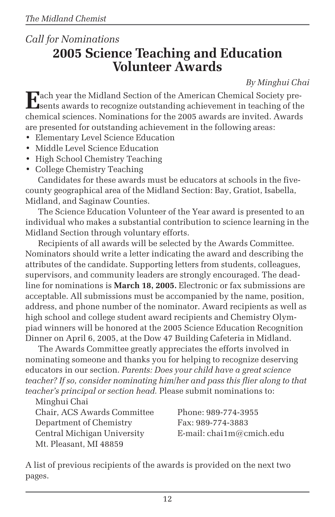### *Call for Nominations* **2005 Science Teaching and Education Volunteer Awards**

*By Minghui Chai*

**E**ach year the Midland Section of the American Chemical Society pre-sents awards to recognize outstanding achievement in teaching of the chemical sciences. Nominations for the 2005 awards are invited. Awards are presented for outstanding achievement in the following areas:

- Elementary Level Science Education
- Middle Level Science Education
- High School Chemistry Teaching
- College Chemistry Teaching

Candidates for these awards must be educators at schools in the fivecounty geographical area of the Midland Section: Bay, Gratiot, Isabella, Midland, and Saginaw Counties.

The Science Education Volunteer of the Year award is presented to an individual who makes a substantial contribution to science learning in the Midland Section through voluntary efforts.

Recipients of all awards will be selected by the Awards Committee. Nominators should write a letter indicating the award and describing the attributes of the candidate. Supporting letters from students, colleagues, supervisors, and community leaders are strongly encouraged. The deadline for nominations is **March 18, 2005.** Electronic or fax submissions are acceptable. All submissions must be accompanied by the name, position, address, and phone number of the nominator. Award recipients as well as high school and college student award recipients and Chemistry Olympiad winners will be honored at the 2005 Science Education Recognition Dinner on April 6, 2005, at the Dow 47 Building Cafeteria in Midland.

The Awards Committee greatly appreciates the efforts involved in nominating someone and thanks you for helping to recognize deserving educators in our section. *Parents: Does your child have a great science teacher? If so, consider nominating him/her and pass this flier along to that teacher's principal or section head.* Please submit nominations to:

Minghui Chai Chair, ACS Awards Committee Phone: 989-774-3955 Department of Chemistry Fax: 989-774-3883 Central Michigan University E-mail: chai1m@cmich.edu Mt. Pleasant, MI 48859

A list of previous recipients of the awards is provided on the next two pages.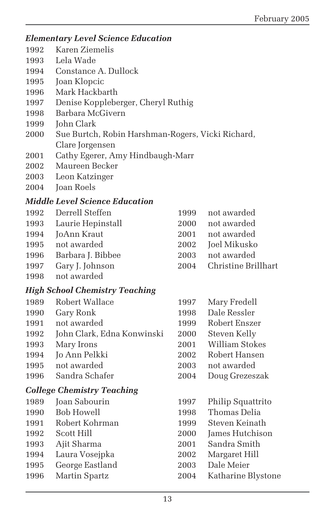#### *Elementary Level Science Education*

- 1992 Karen Ziemelis
- 1993 Lela Wade
- 1994 Constance A. Dullock
- 1995 Joan Klopcic
- 1996 Mark Hackbarth
- 1997 Denise Koppleberger, Cheryl Ruthig
- 1998 Barbara McGivern
- 1999 John Clark
- 2000 Sue Burtch, Robin Harshman-Rogers, Vicki Richard, Clare Jorgensen
- 2001 Cathy Egerer, Amy Hindbaugh-Marr
- 2002 Maureen Becker
- 2003 Leon Katzinger
- 2004 Joan Roels

#### *Middle Level Science Education*

|      | 1992 Derrell Steffen   |      | 1999 not awarded    |
|------|------------------------|------|---------------------|
|      | 1993 Laurie Hepinstall | 2000 | not awarded         |
|      | 1994 JoAnn Kraut       | 2001 | not awarded         |
|      | 1995 not awarded       | 2002 | Joel Mikusko        |
| 1996 | Barbara J. Bibbee      | 2003 | not awarded         |
|      | 1997 Gary J. Johnson   | 2004 | Christine Brillhart |
|      |                        |      |                     |

1998 not awarded

#### *High School Chemistry Teaching*

| 1989                              | Robert Wallace             | 1997 | Mary Fredell       |
|-----------------------------------|----------------------------|------|--------------------|
| 1990                              | Gary Ronk                  | 1998 | Dale Ressler       |
| 1991                              | not awarded                | 1999 | Robert Enszer      |
| 1992                              | John Clark, Edna Konwinski | 2000 | Steven Kelly       |
| 1993                              | Mary Irons                 | 2001 | William Stokes     |
| 1994                              | Jo Ann Pelkki              | 2002 | Robert Hansen      |
| 1995                              | not awarded                | 2003 | not awarded        |
| 1996                              | Sandra Schafer             | 2004 | Doug Grezeszak     |
| <b>College Chemistry Teaching</b> |                            |      |                    |
| 1989                              | Joan Sabourin              | 1997 | Philip Squattrito  |
| 1990                              | Bob Howell                 | 1998 | Thomas Delia       |
| 1991                              | Robert Kohrman             | 1999 | Steven Keinath     |
| 1992                              | Scott Hill                 | 2000 | James Hutchison    |
| 1993                              | Ajit Sharma                | 2001 | Sandra Smith       |
| 1994                              | Laura Vosejpka             | 2002 | Margaret Hill      |
| 1995                              | George Eastland            | 2003 | Dale Meier         |
| 1996                              | Martin Spartz              | 2004 | Katharine Blystone |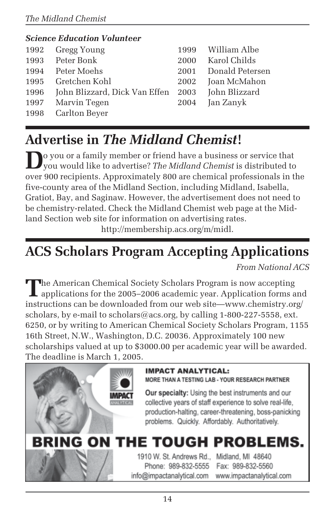#### *Science Education Volunteer* 1992 Gregg Young 1999 William Albe 1993 Peter Bonk 2000 Karol Childs 1994 Peter Moehs 2001 Donald Petersen 1995 Gretchen Kohl 2002 Joan McMahon 1996 John Blizzard, Dick Van Effen 2003 John Blizzard 1997 Marvin Tegen 2004 Jan Zanyk 1998 Carlton Beyer

# **Advertise in** *The Midland Chemist***!**

**D**o you or a family member or friend have a business or service that you would like to advertise? *The Midland Chemist* is distributed to over 900 recipients. Approximately 800 are chemical professionals in the five-county area of the Midland Section, including Midland, Isabella, Gratiot, Bay, and Saginaw. However, the advertisement does not need to be chemistry-related. Check the Midland Chemist web page at the Midland Section web site for information on advertising rates.

http://membership.acs.org/m/midl.

# **ACS Scholars Program Accepting Applications**

*From National ACS*

The American Chemical Society Scholars Program is now accepting<br>applications for the 2005–2006 academic year. Application forms and instructions can be downloaded from our web site—www.chemistry.org/ scholars, by e-mail to scholars@acs.org, by calling 1-800-227-5558, ext. 6250, or by writing to American Chemical Society Scholars Program, 1155 16th Street, N.W., Washington, D.C. 20036. Approximately 100 new scholarships valued at up to \$3000.00 per academic year will be awarded. The deadline is March 1, 2005.



#### **IMPACT ANALYTICAL:**

MORE THAN A TESTING LAB - YOUR RESEARCH PARTNER

Our specialty: Using the best instruments and our collective years of staff experience to solve real-life. production-halting, career-threatening, boss-panicking problems. Quickly. Affordably. Authoritatively.

# **BRING ON THE TOUGH PROBLEMS.**

1910 W. St. Andrews Rd., Midland, MI 48640 Phone: 989-832-5555 Fax: 989-832-5560 info@impactanalytical.com

www.impactanalytical.com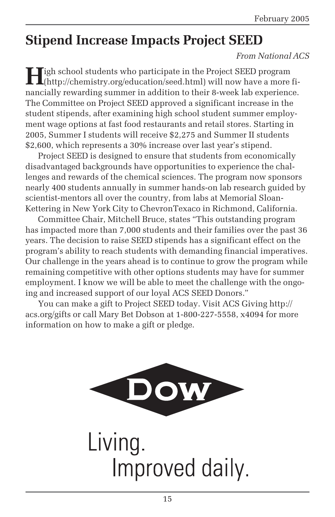### **Stipend Increase Impacts Project SEED**

#### *From National ACS*

**H**igh school students who participate in the Project SEED program (http://chemistry.org/education/seed.html) will now have a more financially rewarding summer in addition to their 8-week lab experience. The Committee on Project SEED approved a significant increase in the student stipends, after examining high school student summer employment wage options at fast food restaurants and retail stores. Starting in 2005, Summer I students will receive \$2,275 and Summer II students \$2,600, which represents a 30% increase over last year's stipend.

Project SEED is designed to ensure that students from economically disadvantaged backgrounds have opportunities to experience the challenges and rewards of the chemical sciences. The program now sponsors nearly 400 students annually in summer hands-on lab research guided by scientist-mentors all over the country, from labs at Memorial Sloan-Kettering in New York City to ChevronTexaco in Richmond, California.

Committee Chair, Mitchell Bruce, states "This outstanding program has impacted more than 7,000 students and their families over the past 36 years. The decision to raise SEED stipends has a significant effect on the program's ability to reach students with demanding financial imperatives. Our challenge in the years ahead is to continue to grow the program while remaining competitive with other options students may have for summer employment. I know we will be able to meet the challenge with the ongoing and increased support of our loyal ACS SEED Donors."

You can make a gift to Project SEED today. Visit ACS Giving http:// acs.org/gifts or call Mary Bet Dobson at 1-800-227-5558, x4094 for more information on how to make a gift or pledge.

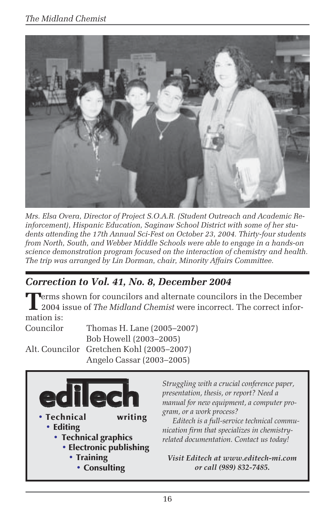

*Mrs. Elsa Overa, Director of Project S.O.A.R. (Student Outreach and Academic Reinforcement), Hispanic Education, Saginaw School District with some of her students attending the 17th Annual Sci-Fest on October 23, 2004. Thirty-four students from North, South, and Webber Middle Schools were able to engage in a hands-on science demonstration program focused on the interaction of chemistry and health. The trip was arranged by Lin Dorman, chair, Minority Affairs Committee.*

### *Correction to Vol. 41, No. 8, December 2004*

**T**erms shown for councilors and alternate councilors in the December<br>2004 issue of *The Midland Chemist* were incorrect. The correct information is:

Councilor Thomas H. Lane (2005–2007) Bob Howell (2003–2005) Alt. Councilor Gretchen Kohl (2005–2007) Angelo Cassar (2003–2005)



*Struggling with a crucial conference paper, presentation, thesis, or report? Need a manual for new equipment, a computer program, or a work process?*

*Editech is a full-service technical communication firm that specializes in chemistryrelated documentation. Contact us today!*

*Visit Editech at www.editech-mi.com or call (989) 832-7485.*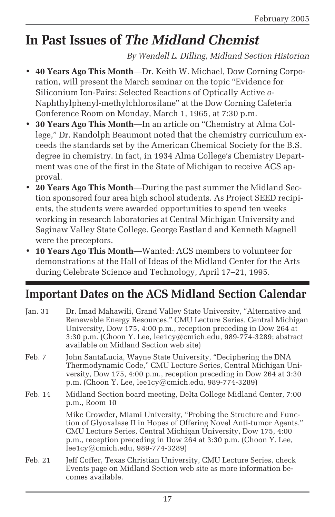# **In Past Issues of** *The Midland Chemist*

*By Wendell L. Dilling, Midland Section Historian*

- **40 Years Ago This Month**—Dr. Keith W. Michael, Dow Corning Corporation, will present the March seminar on the topic "Evidence for Siliconium Ion-Pairs: Selected Reactions of Optically Active *o*-Naphthylphenyl-methylchlorosilane" at the Dow Corning Cafeteria Conference Room on Monday, March 1, 1965, at 7:30 p.m.
- **30 Years Ago This Month**—In an article on "Chemistry at Alma College," Dr. Randolph Beaumont noted that the chemistry curriculum exceeds the standards set by the American Chemical Society for the B.S. degree in chemistry. In fact, in 1934 Alma College's Chemistry Department was one of the first in the State of Michigan to receive ACS approval.
- **20 Years Ago This Month**—During the past summer the Midland Section sponsored four area high school students. As Project SEED recipients, the students were awarded opportunities to spend ten weeks working in research laboratories at Central Michigan University and Saginaw Valley State College. George Eastland and Kenneth Magnell were the preceptors.
- **10 Years Ago This Month**—Wanted: ACS members to volunteer for demonstrations at the Hall of Ideas of the Midland Center for the Arts during Celebrate Science and Technology, April 17–21, 1995.

### **Important Dates on the ACS Midland Section Calendar**

| Jan. $31$ | Dr. Imad Mahawili, Grand Valley State University, "Alternative and<br>Renewable Energy Resources," CMU Lecture Series, Central Michigan<br>University, Dow 175, 4:00 p.m., reception preceding in Dow 264 at<br>3:30 p.m. (Choon Y. Lee, $leqc@cmich.edu$ , 989-774-3289; abstract<br>available on Midland Section web site) |
|-----------|------------------------------------------------------------------------------------------------------------------------------------------------------------------------------------------------------------------------------------------------------------------------------------------------------------------------------|
| Feb. 7    | John SantaLucia, Wayne State University, "Deciphering the DNA<br>Thermodynamic Code," CMU Lecture Series, Central Michigan Uni-<br>versity, Dow 175, 4:00 p.m., reception preceding in Dow 264 at 3:30<br>p.m. (Choon Y. Lee, lee1cy@cmich.edu, 989-774-3289)                                                                |
| Feb. 14   | Midland Section board meeting, Delta College Midland Center, 7:00<br>p.m., Room 10                                                                                                                                                                                                                                           |
|           | Mike Crowder, Miami University, "Probing the Structure and Func-<br>tion of Glyoxalase II in Hopes of Offering Novel Anti-tumor Agents,"<br>CMU Lecture Series, Central Michigan University, Dow 175, 4:00<br>p.m., reception preceding in Dow 264 at 3:30 p.m. (Choon Y. Lee,<br>lee1cy@cmich.edu, 989-774-3289)            |
| Feb. 21   | Jeff Coffer, Texas Christian University, CMU Lecture Series, check<br>Events page on Midland Section web site as more information be-<br>comes available                                                                                                                                                                     |